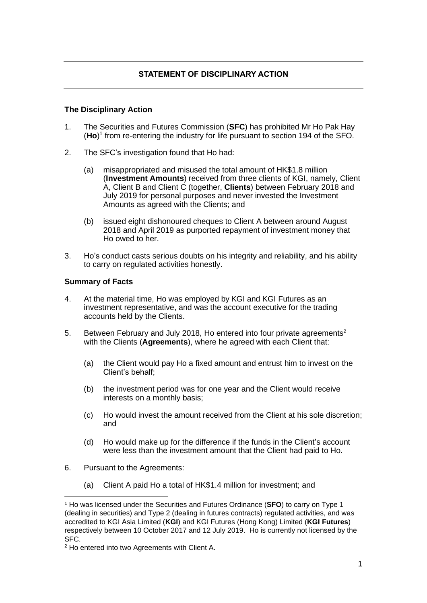## **The Disciplinary Action**

- 1. The Securities and Futures Commission (**SFC**) has prohibited Mr Ho Pak Hay (**Ho**) 1 from re-entering the industry for life pursuant to section 194 of the SFO.
- 2. The SFC's investigation found that Ho had:
	- (a) misappropriated and misused the total amount of HK\$1.8 million (**Investment Amounts**) received from three clients of KGI, namely, Client A, Client B and Client C (together, **Clients**) between February 2018 and July 2019 for personal purposes and never invested the Investment Amounts as agreed with the Clients; and
	- (b) issued eight dishonoured cheques to Client A between around August 2018 and April 2019 as purported repayment of investment money that Ho owed to her.
- 3. Ho's conduct casts serious doubts on his integrity and reliability, and his ability to carry on regulated activities honestly.

## **Summary of Facts**

- 4. At the material time, Ho was employed by KGI and KGI Futures as an investment representative, and was the account executive for the trading accounts held by the Clients.
- 5. Between February and July 2018, Ho entered into four private agreements<sup>2</sup> with the Clients (**Agreements**), where he agreed with each Client that:
	- (a) the Client would pay Ho a fixed amount and entrust him to invest on the Client's behalf;
	- (b) the investment period was for one year and the Client would receive interests on a monthly basis;
	- (c) Ho would invest the amount received from the Client at his sole discretion; and
	- (d) Ho would make up for the difference if the funds in the Client's account were less than the investment amount that the Client had paid to Ho.
- 6. Pursuant to the Agreements:
	- (a) Client A paid Ho a total of HK\$1.4 million for investment; and

<sup>1</sup> Ho was licensed under the Securities and Futures Ordinance (**SFO**) to carry on Type 1 (dealing in securities) and Type 2 (dealing in futures contracts) regulated activities, and was accredited to KGI Asia Limited (**KGI**) and KGI Futures (Hong Kong) Limited (**KGI Futures**) respectively between 10 October 2017 and 12 July 2019. Ho is currently not licensed by the SFC.

<sup>2</sup> Ho entered into two Agreements with Client A.